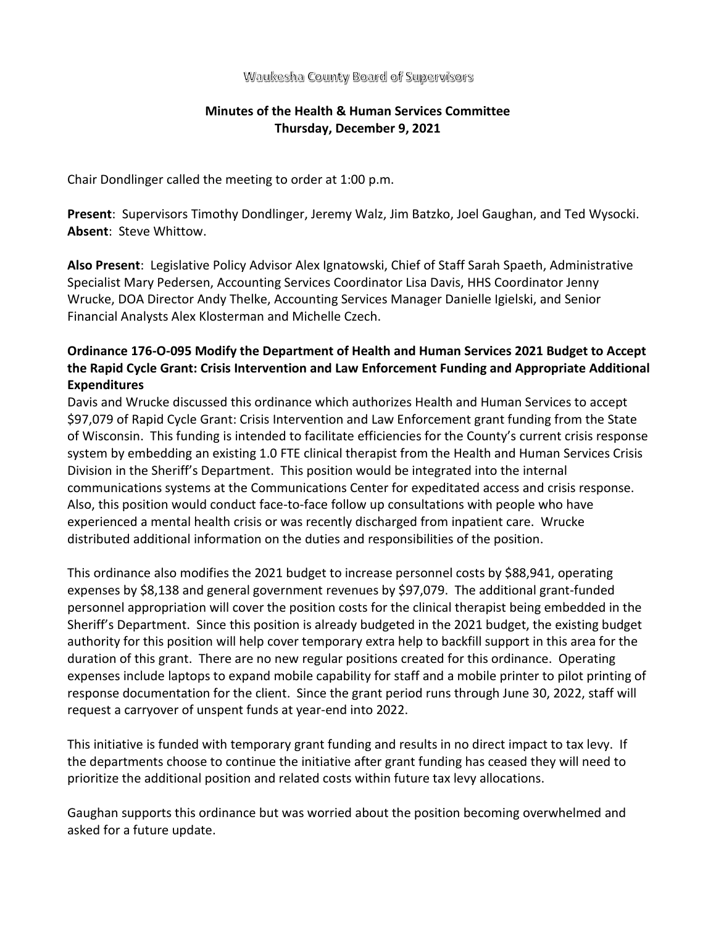Waukesha County Board of Supervisors

# **Minutes of the Health & Human Services Committee Thursday, December 9, 2021**

Chair Dondlinger called the meeting to order at 1:00 p.m.

**Present**: Supervisors Timothy Dondlinger, Jeremy Walz, Jim Batzko, Joel Gaughan, and Ted Wysocki. **Absent**: Steve Whittow.

**Also Present**: Legislative Policy Advisor Alex Ignatowski, Chief of Staff Sarah Spaeth, Administrative Specialist Mary Pedersen, Accounting Services Coordinator Lisa Davis, HHS Coordinator Jenny Wrucke, DOA Director Andy Thelke, Accounting Services Manager Danielle Igielski, and Senior Financial Analysts Alex Klosterman and Michelle Czech.

# **Ordinance 176-O-095 Modify the Department of Health and Human Services 2021 Budget to Accept the Rapid Cycle Grant: Crisis Intervention and Law Enforcement Funding and Appropriate Additional Expenditures**

Davis and Wrucke discussed this ordinance which authorizes Health and Human Services to accept \$97,079 of Rapid Cycle Grant: Crisis Intervention and Law Enforcement grant funding from the State of Wisconsin. This funding is intended to facilitate efficiencies for the County's current crisis response system by embedding an existing 1.0 FTE clinical therapist from the Health and Human Services Crisis Division in the Sheriff's Department. This position would be integrated into the internal communications systems at the Communications Center for expeditated access and crisis response. Also, this position would conduct face-to-face follow up consultations with people who have experienced a mental health crisis or was recently discharged from inpatient care. Wrucke distributed additional information on the duties and responsibilities of the position.

This ordinance also modifies the 2021 budget to increase personnel costs by \$88,941, operating expenses by \$8,138 and general government revenues by \$97,079. The additional grant-funded personnel appropriation will cover the position costs for the clinical therapist being embedded in the Sheriff's Department. Since this position is already budgeted in the 2021 budget, the existing budget authority for this position will help cover temporary extra help to backfill support in this area for the duration of this grant. There are no new regular positions created for this ordinance. Operating expenses include laptops to expand mobile capability for staff and a mobile printer to pilot printing of response documentation for the client. Since the grant period runs through June 30, 2022, staff will request a carryover of unspent funds at year-end into 2022.

This initiative is funded with temporary grant funding and results in no direct impact to tax levy. If the departments choose to continue the initiative after grant funding has ceased they will need to prioritize the additional position and related costs within future tax levy allocations.

Gaughan supports this ordinance but was worried about the position becoming overwhelmed and asked for a future update.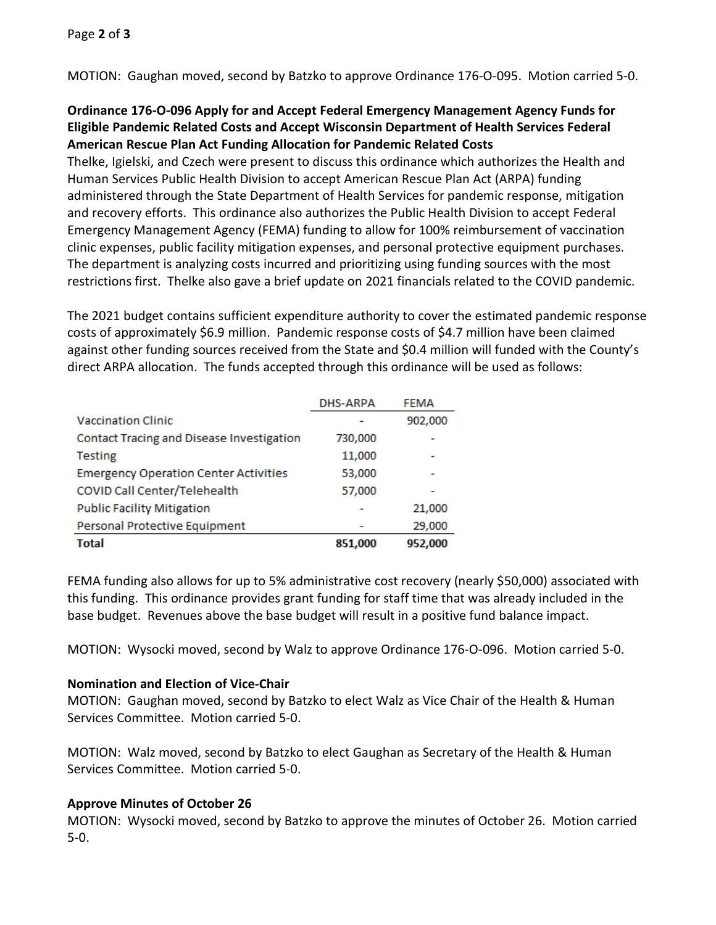MOTION: Gaughan moved, second by Batzko to approve Ordinance 176-O-095. Motion carried 5-0.

## **Ordinance 176-O-096 Apply for and Accept Federal Emergency Management Agency Funds for Eligible Pandemic Related Costs and Accept Wisconsin Department of Health Services Federal American Rescue Plan Act Funding Allocation for Pandemic Related Costs**

Thelke, Igielski, and Czech were present to discuss this ordinance which authorizes the Health and Human Services Public Health Division to accept American Rescue Plan Act (ARPA) funding administered through the State Department of Health Services for pandemic response, mitigation and recovery efforts. This ordinance also authorizes the Public Health Division to accept Federal Emergency Management Agency (FEMA) funding to allow for 100% reimbursement of vaccination clinic expenses, public facility mitigation expenses, and personal protective equipment purchases. The department is analyzing costs incurred and prioritizing using funding sources with the most restrictions first. Thelke also gave a brief update on 2021 financials related to the COVID pandemic.

The 2021 budget contains sufficient expenditure authority to cover the estimated pandemic response costs of approximately \$6.9 million. Pandemic response costs of \$4.7 million have been claimed against other funding sources received from the State and \$0.4 million will funded with the County's direct ARPA allocation. The funds accepted through this ordinance will be used as follows:

|                                              | <b>DHS-ARPA</b> | <b>FEMA</b> |
|----------------------------------------------|-----------------|-------------|
| <b>Vaccination Clinic</b>                    |                 | 902,000     |
| Contact Tracing and Disease Investigation    | 730,000         |             |
| <b>Testing</b>                               | 11,000          |             |
| <b>Emergency Operation Center Activities</b> | 53,000          |             |
| COVID Call Center/Telehealth                 | 57,000          |             |
| <b>Public Facility Mitigation</b>            |                 | 21,000      |
| Personal Protective Equipment                |                 | 29,000      |
| Total                                        | 851,000         | 952,000     |

FEMA funding also allows for up to 5% administrative cost recovery (nearly \$50,000) associated with this funding. This ordinance provides grant funding for staff time that was already included in the base budget. Revenues above the base budget will result in a positive fund balance impact.

MOTION: Wysocki moved, second by Walz to approve Ordinance 176-O-096. Motion carried 5-0.

### **Nomination and Election of Vice-Chair**

MOTION: Gaughan moved, second by Batzko to elect Walz as Vice Chair of the Health & Human Services Committee. Motion carried 5-0.

MOTION: Walz moved, second by Batzko to elect Gaughan as Secretary of the Health & Human Services Committee. Motion carried 5-0.

### **Approve Minutes of October 26**

MOTION: Wysocki moved, second by Batzko to approve the minutes of October 26. Motion carried 5-0.